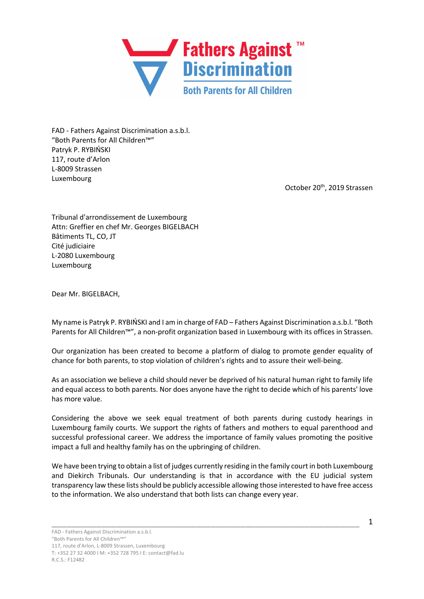

FAD - Fathers Against Discrimination a.s.b.l. "Both Parents for All Children™" Patryk P. RYBIŃSKI 117, route d'Arlon L-8009 Strassen Luxembourg

October 20<sup>th</sup>, 2019 Strassen

Tribunal d'arrondissement de Luxembourg Attn: Greffier en chef Mr. Georges BIGELBACH Bâtiments TL, CO, JT Cité judiciaire L-2080 Luxembourg Luxembourg

Dear Mr. BIGELBACH,

My name is Patryk P. RYBIŃSKI and I am in charge of FAD – Fathers Against Discrimination a.s.b.l. "Both Parents for All Children™", a non-profit organization based in Luxembourg with its offices in Strassen.

Our organization has been created to become a platform of dialog to promote gender equality of chance for both parents, to stop violation of children's rights and to assure their well-being.

As an association we believe a child should never be deprived of his natural human right to family life and equal access to both parents. Nor does anyone have the right to decide which of his parents' love has more value.

Considering the above we seek equal treatment of both parents during custody hearings in Luxembourg family courts. We support the rights of fathers and mothers to equal parenthood and successful professional career. We address the importance of family values promoting the positive impact a full and healthy family has on the upbringing of children.

We have been trying to obtain a list of judges currently residing in the family court in both Luxembourg and Diekirch Tribunals. Our understanding is that in accordance with the EU judicial system transparency law these listsshould be publicly accessible allowing those interested to have free access to the information. We also understand that both lists can change every year.

\_\_\_\_\_\_\_\_\_\_\_\_\_\_\_\_\_\_\_\_\_\_\_\_\_\_\_\_\_\_\_\_\_\_\_\_\_\_\_\_\_\_\_\_\_\_\_\_\_\_\_\_\_\_\_\_\_\_\_\_\_\_